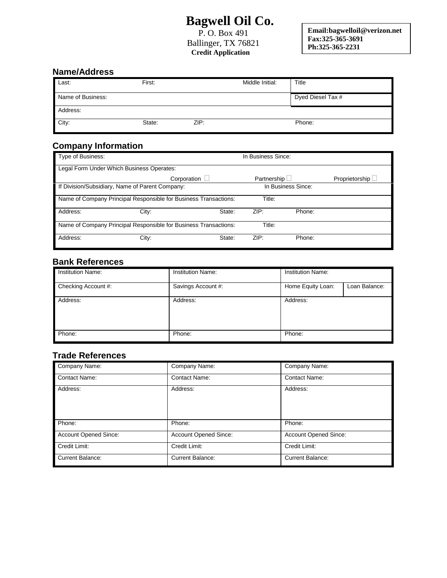# **Bagwell Oil Co.**

P. O. Box 491 Ballinger, TX 76821  **Credit Application** 

**Email:bagwelloil@verizon.net Fax:325-365-3691 Ph:325-365-2231**

## **Name/Address**

| Last:             | First: |      | Middle Initial: | Title             |
|-------------------|--------|------|-----------------|-------------------|
| Name of Business: |        |      |                 | Dyed Diesel Tax # |
| Address:          |        |      |                 |                   |
| City:             | State: | ZIP: |                 | Phone:            |

## **Company Information**

| Type of Business:                                                |             |        |                    | In Business Since: |                  |  |
|------------------------------------------------------------------|-------------|--------|--------------------|--------------------|------------------|--|
| Legal Form Under Which Business Operates:                        |             |        |                    |                    |                  |  |
|                                                                  | Corporation |        | Partnership $\Box$ |                    | Proprietorship L |  |
| If Division/Subsidiary, Name of Parent Company:                  |             |        | In Business Since: |                    |                  |  |
| Name of Company Principal Responsible for Business Transactions: |             |        | Title:             |                    |                  |  |
| Address:                                                         | City:       | State: | ZIP:               | Phone:             |                  |  |
| Name of Company Principal Responsible for Business Transactions: |             |        | Title:             |                    |                  |  |
| Address:                                                         | City:       | State: | ZIP:               | Phone:             |                  |  |

### **Bank References**

| <b>Institution Name:</b> | <b>Institution Name:</b> | <b>Institution Name:</b> |               |
|--------------------------|--------------------------|--------------------------|---------------|
| Checking Account #:      | Savings Account #:       | Home Equity Loan:        | Loan Balance: |
| Address:                 | Address:                 | Address:                 |               |
| Phone:                   | Phone:                   | Phone:                   |               |

#### **Trade References**

| Company Name:                | Company Name:                | Company Name:                |
|------------------------------|------------------------------|------------------------------|
| <b>Contact Name:</b>         | <b>Contact Name:</b>         | <b>Contact Name:</b>         |
| Address:                     | Address:                     | Address:                     |
| Phone:                       | Phone:                       | Phone:                       |
| <b>Account Opened Since:</b> | <b>Account Opened Since:</b> | <b>Account Opened Since:</b> |
| Credit Limit:                | Credit Limit:                | Credit Limit:                |
| <b>Current Balance:</b>      | <b>Current Balance:</b>      | <b>Current Balance:</b>      |